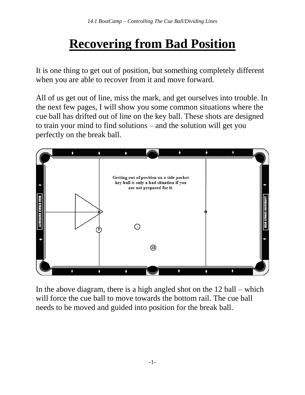## **Recovering from Bad Position**

It is one thing to get out of position, but something completely different when you are able to recover from it and move forward.

All of us get out of line, miss the mark, and get ourselves into trouble. In the next few pages, I will show you some common situations where the cue ball has drifted out of line on the key ball. These shots are designed to train your mind to find solutions – and the solution will get you perfectly on the break ball.



In the above diagram, there is a high angled shot on the 12 ball – which will force the cue ball to move towards the bottom rail. The cue ball needs to be moved and guided into position for the break ball.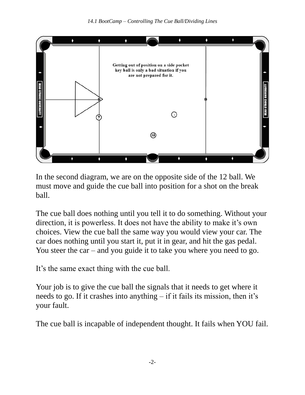

In the second diagram, we are on the opposite side of the 12 ball. We must move and guide the cue ball into position for a shot on the break ball.

The cue ball does nothing until you tell it to do something. Without your direction, it is powerless. It does not have the ability to make it's own choices. View the cue ball the same way you would view your car. The car does nothing until you start it, put it in gear, and hit the gas pedal. You steer the car – and you guide it to take you where you need to go.

It's the same exact thing with the cue ball.

Your job is to give the cue ball the signals that it needs to get where it needs to go. If it crashes into anything – if it fails its mission, then it's your fault.

The cue ball is incapable of independent thought. It fails when YOU fail.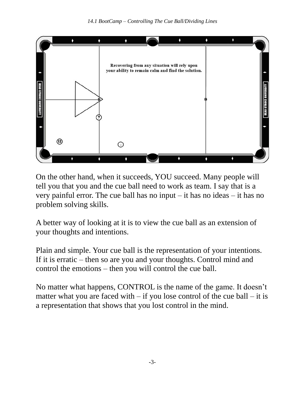

On the other hand, when it succeeds, YOU succeed. Many people will tell you that you and the cue ball need to work as team. I say that is a very painful error. The cue ball has no input – it has no ideas – it has no problem solving skills.

A better way of looking at it is to view the cue ball as an extension of your thoughts and intentions.

Plain and simple. Your cue ball is the representation of your intentions. If it is erratic – then so are you and your thoughts. Control mind and control the emotions – then you will control the cue ball.

No matter what happens, CONTROL is the name of the game. It doesn't matter what you are faced with  $-$  if you lose control of the cue ball  $-$  it is a representation that shows that you lost control in the mind.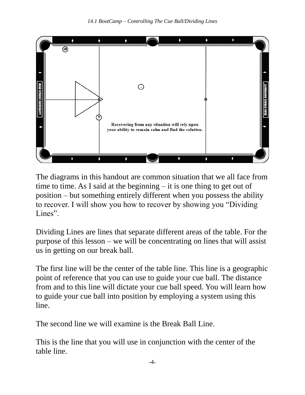

The diagrams in this handout are common situation that we all face from time to time. As I said at the beginning – it is one thing to get out of position – but something entirely different when you possess the ability to recover. I will show you how to recover by showing you "Dividing Lines".

Dividing Lines are lines that separate different areas of the table. For the purpose of this lesson – we will be concentrating on lines that will assist us in getting on our break ball.

The first line will be the center of the table line. This line is a geographic point of reference that you can use to guide your cue ball. The distance from and to this line will dictate your cue ball speed. You will learn how to guide your cue ball into position by employing a system using this line.

The second line we will examine is the Break Ball Line.

This is the line that you will use in conjunction with the center of the table line.